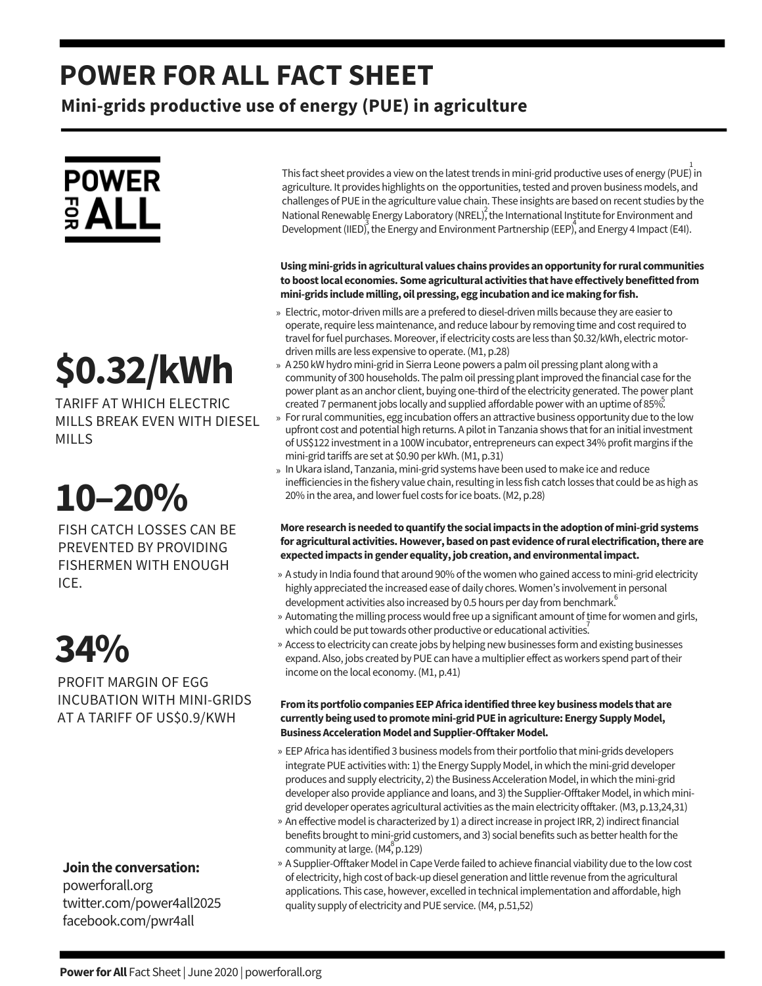### **POWER FOR ALL FACT SHEET**

**Mini-grids productive use of energy (PUE) in agriculture**

## **POWER** ទី **ALL**

# **\$0.32/kWh**

TARIFF AT WHICH ELECTRIC MILLS BREAK EVEN WITH DIESEL MILLS

## **10–20%**

FISH CATCH LOSSES CAN BE PREVENTED BY PROVIDING FISHERMEN WITH ENOUGH ICE.

## **34%**

PROFIT MARGIN OF EGG INCUBATION WITH MINI-GRIDS AT A TARIFF OF US\$0.9/KWH

### **Jointhe conversation:**

powerforall.org twitter.com/power4all2025 facebook.com/pwr4all

This fact sheet provides a view on the latest trends in mini-grid productive uses of energy (PUE) in agriculture. It provides highlights on the opportunities, tested and proven business models, and challenges of PUE in the agriculture value chain. These insights are based on recent studies by the National Renewable Energy Laboratory (NREL), the International Institute for Environment and Development (IIED), the Energy and Environment Partnership (EEP), and Energy 4 Impact (E4I).

#### **Usingmini-grids inagricultural values chainsprovides anopportunity forrural communities toboostlocal economies. Some agricultural activities thathave effectivelybenefittedfrom mini-grids includemilling, oilpressing, egg incubationandicemaking forfish.**

- » Electric, motor-driven mills are a prefered to diesel-driven mills because they are easier to operate, require less maintenance, and reduce labour by removing time and cost required to travel for fuel purchases. Moreover, if electricity costs are less than \$0.32/kWh, electric motordriven mills are less expensive to operate. (M1, p.28)
- » A 250 kW hydro mini-grid in Sierra Leone powers a palm oil pressing plant along with a community of 300 households. The palm oil pressing plantimproved thefinancial caseforthe power plant as an anchor client, buying one-third of the electricity generated. The power plant created 7 permanent jobs locally and supplied affordable power with an uptime of 85%.
- » For rural communities, egg incubation offers an attractive business opportunity due to the low upfront cost and potential high returns. A pilot in Tanzania shows that for an initial investment of US\$122 investment in a 100W incubator, entrepreneurs can expect 34% profit margins if the mini-grid tariffs are set at \$0.90 per kWh. (M1, p.31)
- » In Ukara island, Tanzania, mini-grid systems have been used to make ice and reduce inefficiencies in the fishery value chain, resulting in less fish catch losses that could be as high as 20% in the area, and lower fuel costs for ice boats. (M2, p.28)

#### **More researchisneededtoquantify the socialimpacts inthe adoptionofmini-gridsystems for agricultural activities.However,basedonpast evidence ofrural electrification,there are expectedimpacts ingender equality,jobcreation, andenvironmentalimpact.**

- » A study in India found that around 90% of the women who gained access to mini-grid electricity highly appreciated the increased ease of daily chores. Women's involvement in personal development activities also increased by 0.5 hours per day from benchmark.<sup>6</sup>
- » Automating the milling process would free up a significant amount of time for women and girls, which could be put towards other productive or educational activities.
- » Access to electricity can create jobs by helping new businesses form and existing businesses expand. Also, jobs created by PUE can have a multiplier effect as workers spend part of their income on the local economy. (M1, p.41)

#### **Fromitsportfolio companies EEPAfrica identifiedthree keybusinessmodels that are currentlybeingusedtopromotemini-gridPUE inagriculture: Energy SupplyModel, Business Acceleration Model and Supplier-Offtaker Model.**

- EEPAfrica has identified 3 business models from their portfolio that mini-grids developers » integrate PUE activities with: 1) the Energy Supply Model, in which the mini-grid developer produces and supply electricity, 2) the Business Acceleration Model, in which the mini-grid developer also provide appliance and loans, and 3) the Supplier-Offtaker Model, in which minigrid developer operates agricultural activities as the main electricity offtaker.(M3, p.13,24,31)
- » An effective model is characterized by 1) a direct increase in project IRR, 2) indirect financial benefits brought to mini-grid customers, and 3) social benefits such as better health for the community at large.  $(M_2^8p.129)$
- » A Supplier-Offtaker Model in Cape Verde failed to achieve financial viability due to the low cost ofelectricity, high cost of back-up diesel generation and littlerevenuefrom the agricultural applications. This case, however, excelled in technical implementation and affordable, high quality supply of electricity and PUE service. (M4, p.51,52)